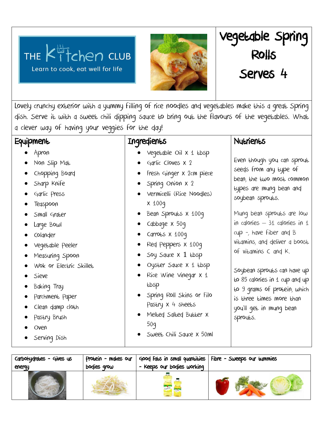## chen club THE Learn to cook, eat well for life



Lovely crunchy exterior with a yummy filling of rice noodles and vegetables make this a great Spring dish. Serve it with a sweet chili dipping sauce to bring out the flavours of the vegetables. What a clever way of having your veggies for the day!

# **Equipment**

- Apron
- Non Slip Mat
- Chopping Board
- Sharp Knife
- Garlic Press
- Teaspoon
- Small Grater
- Large Bowl
- Colander
- Vegetable Peeler
- Measuring Spoon
- Wok or Electric Skillet
- Sieve
- Baking Tray
- Parchment Paper
- Clean damp cloth
- Pastry Brush
- Oven
- Serving Dish

# Ingredients

- Vegetable Oil x 1 tbsp
- Garlic Cloves x 2
- Fresh Ginger x 2cm piece
- Spring Onion x 2
- Vermicelli (Rice Noodles) x 100g
- Bean Sprouts x 100g
- Cabbage x 50g
- Carrots x 100g
- Red Peppers x 100g
- Soy Squce  $x$  1  $tbsp$
- Oyster Sauce x 1 tbsp
- Rice Wine Vinegar x 1 tbsp
- Spring Roll Skins or Filo Pastry x 4 sheets
- Melted Salted Butter x 50g
- Sweet Chili Sauce x 50ml

## **Nutrients**

Vegetable Spring

Rolls

Serves 4

Even though you can sprout seeds from any type of bean, the two most common types are mung bean and soybean sprouts.

Mung bean sprouts are low in calories  $-31$  calories in 1 cup -, have fiber and B vitamins, and deliver a boost of vitamins C and K.

Soybean sprouts can have up  $E$  85 calories in 1 cup and up to 9 grams of protein, which is three times more than you'll get in mung bean sprouts.

| Carbohydrates - Gives us | Protein - makes our | $\sim$ Good Fats in small quantities   Fibre $\sim$ Sweeps our tummies |  |
|--------------------------|---------------------|------------------------------------------------------------------------|--|
| energy                   | bodies grow         | - Keeps our bodies working                                             |  |
|                          |                     |                                                                        |  |